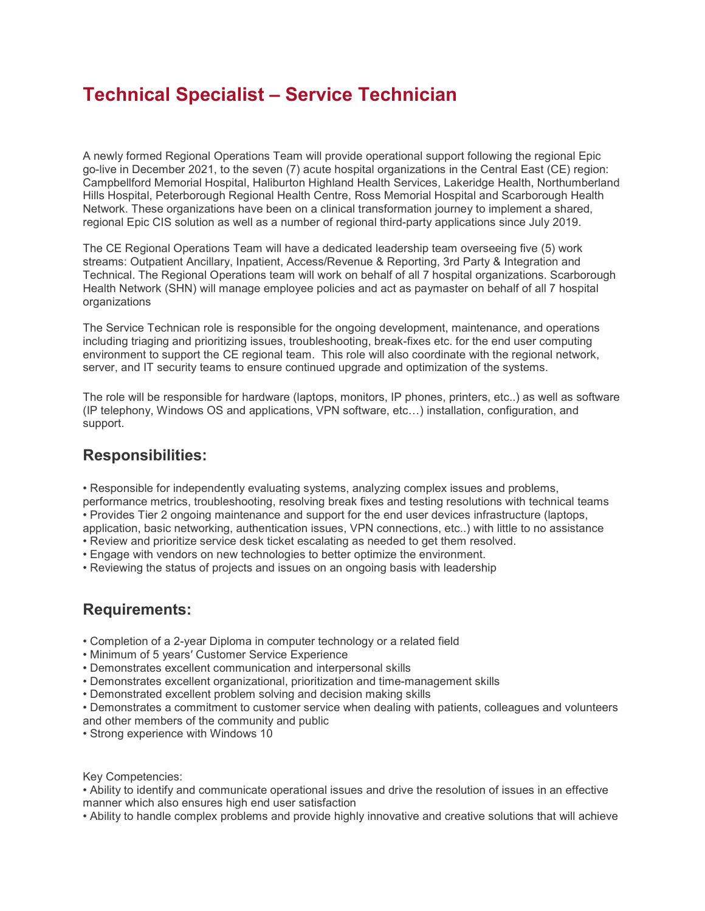## Technical Specialist – Service Technician

A newly formed Regional Operations Team will provide operational support following the regional Epic go-live in December 2021, to the seven (7) acute hospital organizations in the Central East (CE) region: Campbellford Memorial Hospital, Haliburton Highland Health Services, Lakeridge Health, Northumberland Hills Hospital, Peterborough Regional Health Centre, Ross Memorial Hospital and Scarborough Health Network. These organizations have been on a clinical transformation journey to implement a shared, regional Epic CIS solution as well as a number of regional third-party applications since July 2019.

The CE Regional Operations Team will have a dedicated leadership team overseeing five (5) work streams: Outpatient Ancillary, Inpatient, Access/Revenue & Reporting, 3rd Party & Integration and Technical. The Regional Operations team will work on behalf of all 7 hospital organizations. Scarborough Health Network (SHN) will manage employee policies and act as paymaster on behalf of all 7 hospital organizations

The Service Technican role is responsible for the ongoing development, maintenance, and operations including triaging and prioritizing issues, troubleshooting, break-fixes etc. for the end user computing environment to support the CE regional team. This role will also coordinate with the regional network, server, and IT security teams to ensure continued upgrade and optimization of the systems.

The role will be responsible for hardware (laptops, monitors, IP phones, printers, etc..) as well as software (IP telephony, Windows OS and applications, VPN software, etc…) installation, configuration, and support.

## Responsibilities:

• Responsible for independently evaluating systems, analyzing complex issues and problems, performance metrics, troubleshooting, resolving break fixes and testing resolutions with technical teams • Provides Tier 2 ongoing maintenance and support for the end user devices infrastructure (laptops, application, basic networking, authentication issues, VPN connections, etc..) with little to no assistance

- Review and prioritize service desk ticket escalating as needed to get them resolved.
- Engage with vendors on new technologies to better optimize the environment.
- Reviewing the status of projects and issues on an ongoing basis with leadership

## Requirements:

- Completion of a 2-year Diploma in computer technology or a related field
- Minimum of 5 years′ Customer Service Experience
- Demonstrates excellent communication and interpersonal skills
- Demonstrates excellent organizational, prioritization and time-management skills
- Demonstrated excellent problem solving and decision making skills
- Demonstrates a commitment to customer service when dealing with patients, colleagues and volunteers and other members of the community and public
- Strong experience with Windows 10

Key Competencies:

• Ability to identify and communicate operational issues and drive the resolution of issues in an effective manner which also ensures high end user satisfaction

• Ability to handle complex problems and provide highly innovative and creative solutions that will achieve